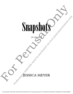## Snapshots and the stress of Snapshots Company **SHAPSHOCK**

*for solo viola*

ESSICA MEYER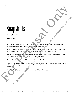## Snapshots

**3' (maybe a little more)**

*for solo viola*

These short, one-minute pieces were commissioned by Washington Performing Arts for the 50th Annual Joseph and Goldie Feder Memorial Competition.

The set opens with "Naughty Kitty", which was written for Intermediate level players and was inspired by the cute (but sometimes frustrating) antics of my new black cat Ninji.

The middle movement was written with beginners in mind and is called "Farewell Song" - my ode to all viola Elegies that have been written over the years.

The final movement is called "Tempest", a flashy and fun showpiece for advanced players.

I feel we should always be armed with short character pieces that we can perform in a recital, a school, a community center, or someone's house - and it was an honor to add these to the viola repertoire. **SIMPLES III (I)**<br> **S** (maybe a littde more)<br> **S** (maybe a littde more)<br> *for solo viola*<br>
These short, one minute pieces were communicated by Washington Terminang Arts for the<br>
The set opens with "Nangling Kap", which wa **PERFORM SET AND AND ACCES**<br> **Examplementary and Conduct Figure materials must be purchased by Westing the purchased via the conduction**<br> **Examplementary in the case were commissionary of Computing the purchased via the c** 

Individually or as a set, I hope you find them useful and fun to play!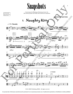## Snapshots

*Commissioned by Washington Performing Arts for the 50th Annual Joseph and Goldie Feder Memorial Competition*



3

I. Naughty Kitty

accidentals apply in<br>that octave for the<br>entire measure unles<br>otherwise noted



©2021 JMM Publishing (BMI). All rights reserved.

**For perusal only. Performance materials must be purchased via www.jessicameyermusic.com. Unauthorized reproduction or distribution is strictly prohibited.**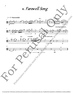